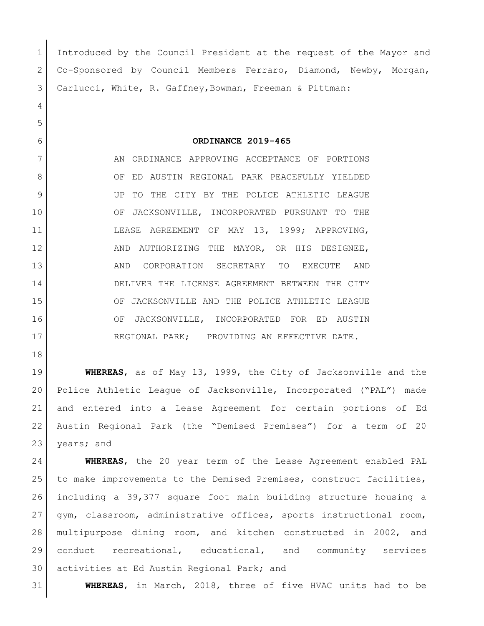Introduced by the Council President at the request of the Mayor and Co-Sponsored by Council Members Ferraro, Diamond, Newby, Morgan, Carlucci, White, R. Gaffney,Bowman, Freeman & Pittman: **ORDINANCE 2019-465** 7 AN ORDINANCE APPROVING ACCEPTANCE OF PORTIONS 8 OF ED AUSTIN REGIONAL PARK PEACEFULLY YIELDED UP TO THE CITY BY THE POLICE ATHLETIC LEAGUE OF JACKSONVILLE, INCORPORATED PURSUANT TO THE LEASE AGREEMENT OF MAY 13, 1999; APPROVING, 12 AND AUTHORIZING THE MAYOR, OR HIS DESIGNEE, AND CORPORATION SECRETARY TO EXECUTE AND DELIVER THE LICENSE AGREEMENT BETWEEN THE CITY OF JACKSONVILLE AND THE POLICE ATHLETIC LEAGUE 16 OF JACKSONVILLE, INCORPORATED FOR ED AUSTIN 17 REGIONAL PARK; PROVIDING AN EFFECTIVE DATE. **WHEREAS**, as of May 13, 1999, the City of Jacksonville and the Police Athletic League of Jacksonville, Incorporated ("PAL") made and entered into a Lease Agreement for certain portions of Ed Austin Regional Park (the "Demised Premises") for a term of 20

23 years; and **WHEREAS**, the 20 year term of the Lease Agreement enabled PAL to make improvements to the Demised Premises, construct facilities, including a 39,377 square foot main building structure housing a gym, classroom, administrative offices, sports instructional room, multipurpose dining room, and kitchen constructed in 2002, and conduct recreational, educational, and community services activities at Ed Austin Regional Park; and

**WHEREAS**, in March, 2018, three of five HVAC units had to be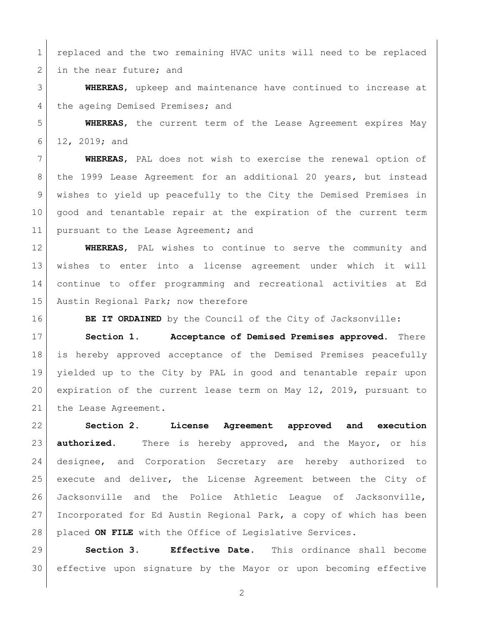replaced and the two remaining HVAC units will need to be replaced 2 in the near future; and

 **WHEREAS**, upkeep and maintenance have continued to increase at 4 the ageing Demised Premises; and

 **WHEREAS**, the current term of the Lease Agreement expires May 12, 2019; and

 **WHEREAS**, PAL does not wish to exercise the renewal option of the 1999 Lease Agreement for an additional 20 years, but instead wishes to yield up peacefully to the City the Demised Premises in good and tenantable repair at the expiration of the current term 11 | pursuant to the Lease Agreement; and

 **WHEREAS**, PAL wishes to continue to serve the community and wishes to enter into a license agreement under which it will continue to offer programming and recreational activities at Ed 15 Austin Regional Park; now therefore

**BE IT ORDAINED** by the Council of the City of Jacksonville:

 **Section 1. Acceptance of Demised Premises approved.** There is hereby approved acceptance of the Demised Premises peacefully yielded up to the City by PAL in good and tenantable repair upon expiration of the current lease term on May 12, 2019, pursuant to 21 the Lease Agreement.

 **Section 2. License Agreement approved and execution authorized.** There is hereby approved, and the Mayor, or his designee, and Corporation Secretary are hereby authorized to execute and deliver, the License Agreement between the City of Jacksonville and the Police Athletic League of Jacksonville, Incorporated for Ed Austin Regional Park, a copy of which has been placed **ON FILE** with the Office of Legislative Services.

 **Section 3. Effective Date.** This ordinance shall become effective upon signature by the Mayor or upon becoming effective